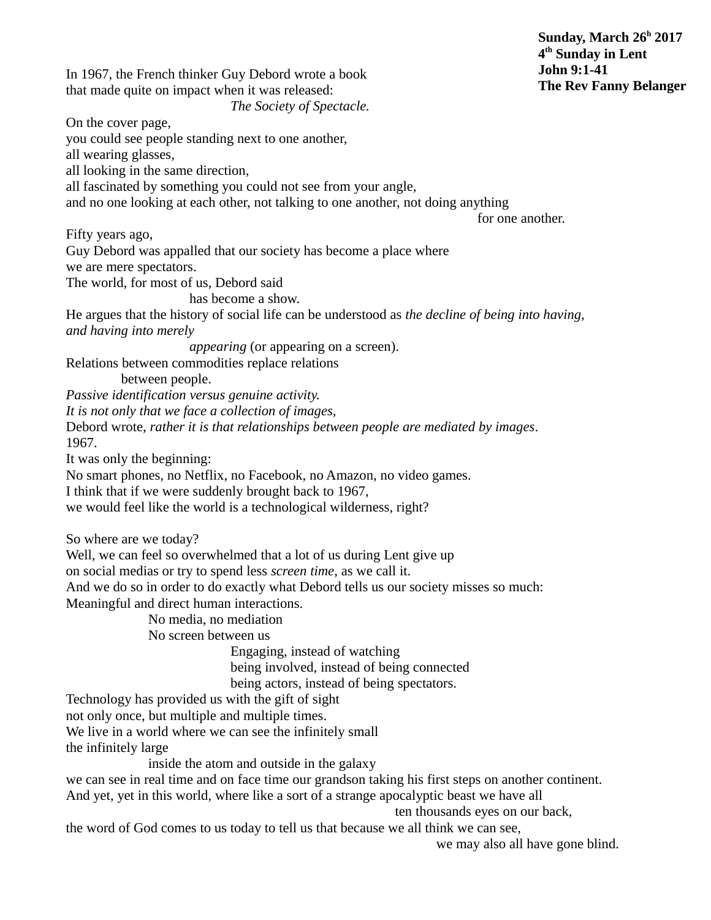In 1967, the French thinker Guy Debord wrote a book that made quite on impact when it was released: *The Society of Spectacle.* On the cover page, you could see people standing next to one another, all wearing glasses, all looking in the same direction, all fascinated by something you could not see from your angle, and no one looking at each other, not talking to one another, not doing anything for one another. Fifty years ago, Guy Debord was appalled that our society has become a place where we are mere spectators. The world, for most of us, Debord said has become a show. He argues that the history of social life can be understood as *the decline of being into having, and having into merely appearing* (or appearing on a screen). Relations between commodities replace relations between people. *Passive identification versus genuine activity. It is not only that we face a collection of images,*  Debord wrote, *rather it is that relationships between people are mediated by images*. 1967. It was only the beginning: No smart phones, no Netflix, no Facebook, no Amazon, no video games. I think that if we were suddenly brought back to 1967, we would feel like the world is a technological wilderness, right? So where are we today? Well, we can feel so overwhelmed that a lot of us during Lent give up on social medias or try to spend less *screen time*, as we call it. And we do so in order to do exactly what Debord tells us our society misses so much: Meaningful and direct human interactions. No media, no mediation No screen between us Engaging, instead of watching being involved, instead of being connected being actors, instead of being spectators. Technology has provided us with the gift of sight not only once, but multiple and multiple times. We live in a world where we can see the infinitely small the infinitely large inside the atom and outside in the galaxy we can see in real time and on face time our grandson taking his first steps on another continent. And yet, yet in this world, where like a sort of a strange apocalyptic beast we have all ten thousands eyes on our back, the word of God comes to us today to tell us that because we all think we can see, we may also all have gone blind. **4 th Sunday in Lent John 9:1-41 The Rev Fanny Belanger**

**Sunday, March 26<sup>h</sup> 2017**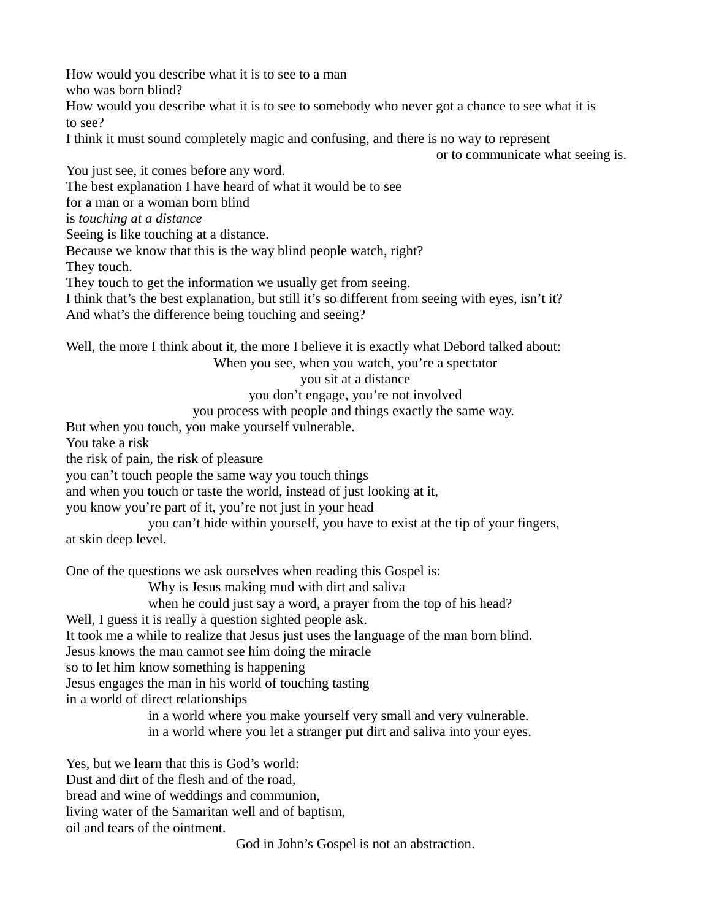How would you describe what it is to see to a man who was born blind?

How would you describe what it is to see to somebody who never got a chance to see what it is to see?

I think it must sound completely magic and confusing, and there is no way to represent

or to communicate what seeing is.

You just see, it comes before any word.

The best explanation I have heard of what it would be to see

for a man or a woman born blind

is *touching at a distance*

Seeing is like touching at a distance.

Because we know that this is the way blind people watch, right?

They touch.

They touch to get the information we usually get from seeing.

I think that's the best explanation, but still it's so different from seeing with eyes, isn't it? And what's the difference being touching and seeing?

Well, the more I think about it, the more I believe it is exactly what Debord talked about:

When you see, when you watch, you're a spectator

you sit at a distance

you don't engage, you're not involved

you process with people and things exactly the same way.

But when you touch, you make yourself vulnerable.

You take a risk

the risk of pain, the risk of pleasure

you can't touch people the same way you touch things

and when you touch or taste the world, instead of just looking at it,

you know you're part of it, you're not just in your head

you can't hide within yourself, you have to exist at the tip of your fingers, at skin deep level.

One of the questions we ask ourselves when reading this Gospel is:

Why is Jesus making mud with dirt and saliva

when he could just say a word, a prayer from the top of his head?

Well, I guess it is really a question sighted people ask.

It took me a while to realize that Jesus just uses the language of the man born blind.

Jesus knows the man cannot see him doing the miracle

so to let him know something is happening

Jesus engages the man in his world of touching tasting

in a world of direct relationships

in a world where you make yourself very small and very vulnerable. in a world where you let a stranger put dirt and saliva into your eyes.

Yes, but we learn that this is God's world: Dust and dirt of the flesh and of the road, bread and wine of weddings and communion, living water of the Samaritan well and of baptism, oil and tears of the ointment.

God in John's Gospel is not an abstraction.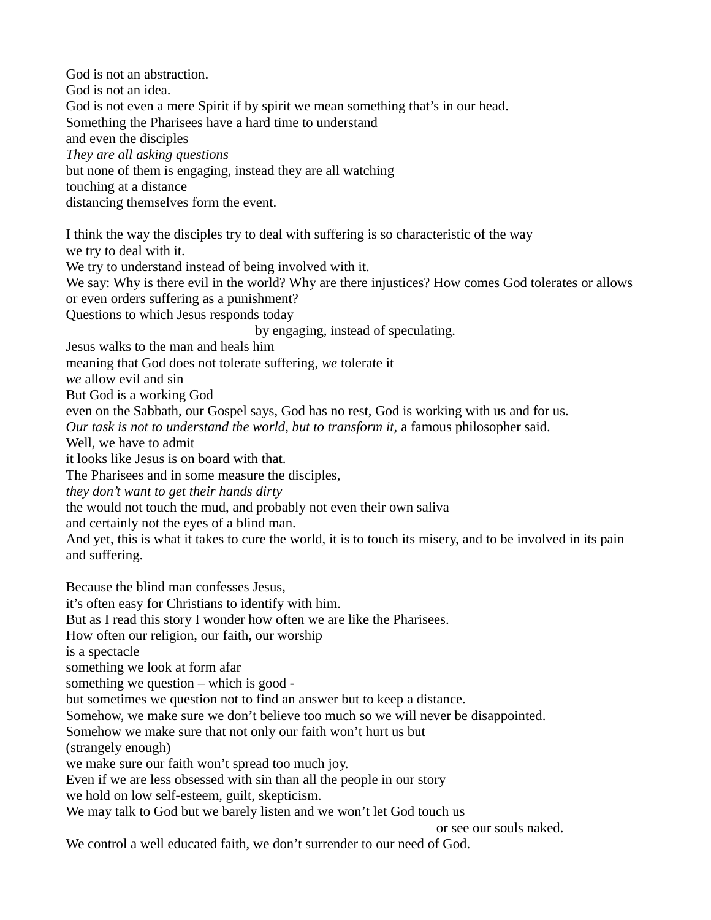God is not an abstraction. God is not an idea. God is not even a mere Spirit if by spirit we mean something that's in our head. Something the Pharisees have a hard time to understand and even the disciples *They are all asking questions* but none of them is engaging, instead they are all watching touching at a distance distancing themselves form the event. I think the way the disciples try to deal with suffering is so characteristic of the way we try to deal with it. We try to understand instead of being involved with it. We say: Why is there evil in the world? Why are there injustices? How comes God tolerates or allows or even orders suffering as a punishment? Questions to which Jesus responds today by engaging, instead of speculating. Jesus walks to the man and heals him meaning that God does not tolerate suffering, *we* tolerate it *we* allow evil and sin But God is a working God even on the Sabbath, our Gospel says, God has no rest, God is working with us and for us. *Our task is not to understand the world, but to transform it,* a famous philosopher said. Well, we have to admit it looks like Jesus is on board with that. The Pharisees and in some measure the disciples, *they don't want to get their hands dirty* the would not touch the mud, and probably not even their own saliva and certainly not the eyes of a blind man. And yet, this is what it takes to cure the world, it is to touch its misery, and to be involved in its pain and suffering. Because the blind man confesses Jesus, it's often easy for Christians to identify with him. But as I read this story I wonder how often we are like the Pharisees. How often our religion, our faith, our worship is a spectacle something we look at form afar something we question – which is good but sometimes we question not to find an answer but to keep a distance. Somehow, we make sure we don't believe too much so we will never be disappointed. Somehow we make sure that not only our faith won't hurt us but (strangely enough) we make sure our faith won't spread too much joy. Even if we are less obsessed with sin than all the people in our story we hold on low self-esteem, guilt, skepticism. We may talk to God but we barely listen and we won't let God touch us or see our souls naked. We control a well educated faith, we don't surrender to our need of God.